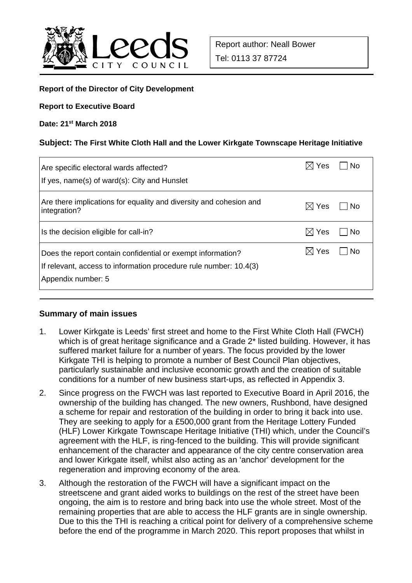

#### **Report of the Director of City Development**

#### **Report to Executive Board**

#### **Date: 21st March 2018**

#### **Subject: The First White Cloth Hall and the Lower Kirkgate Townscape Heritage Initiative**

| Are specific electoral wards affected?                                                                                                                 | Yes             | . No |
|--------------------------------------------------------------------------------------------------------------------------------------------------------|-----------------|------|
| If yes, name(s) of ward(s): City and Hunslet                                                                                                           |                 |      |
| Are there implications for equality and diversity and cohesion and<br>integration?                                                                     | Yes<br>M        | l No |
| Is the decision eligible for call-in?                                                                                                                  | $\boxtimes$ Yes | l No |
| Does the report contain confidential or exempt information?<br>If relevant, access to information procedure rule number: 10.4(3)<br>Appendix number: 5 | $\boxtimes$ Yes | -No  |

#### **Summary of main issues**

- 1. Lower Kirkgate is Leeds' first street and home to the First White Cloth Hall (FWCH) which is of great heritage significance and a Grade  $2^*$  listed building. However, it has suffered market failure for a number of years. The focus provided by the lower Kirkgate THI is helping to promote a number of Best Council Plan objectives, particularly sustainable and inclusive economic growth and the creation of suitable conditions for a number of new business start-ups, as reflected in Appendix 3.
- 2. Since progress on the FWCH was last reported to Executive Board in April 2016, the ownership of the building has changed. The new owners, Rushbond, have designed a scheme for repair and restoration of the building in order to bring it back into use. They are seeking to apply for a £500,000 grant from the Heritage Lottery Funded (HLF) Lower Kirkgate Townscape Heritage Initiative (THI) which, under the Council's agreement with the HLF, is ring-fenced to the building. This will provide significant enhancement of the character and appearance of the city centre conservation area and lower Kirkgate itself, whilst also acting as an 'anchor' development for the regeneration and improving economy of the area.
- 3. Although the restoration of the FWCH will have a significant impact on the streetscene and grant aided works to buildings on the rest of the street have been ongoing, the aim is to restore and bring back into use the whole street. Most of the remaining properties that are able to access the HLF grants are in single ownership. Due to this the THI is reaching a critical point for delivery of a comprehensive scheme before the end of the programme in March 2020. This report proposes that whilst in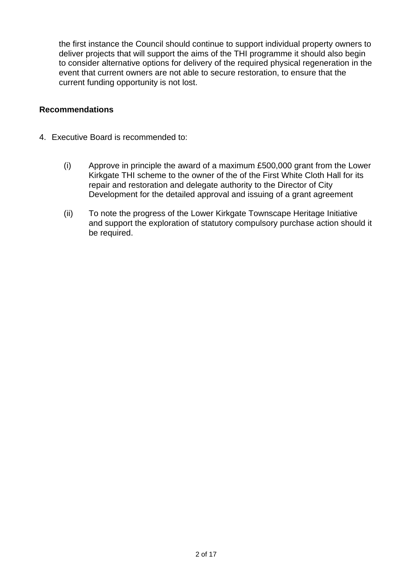the first instance the Council should continue to support individual property owners to deliver projects that will support the aims of the THI programme it should also begin to consider alternative options for delivery of the required physical regeneration in the event that current owners are not able to secure restoration, to ensure that the current funding opportunity is not lost.

#### **Recommendations**

- 4. Executive Board is recommended to:
	- (i) Approve in principle the award of a maximum £500,000 grant from the Lower Kirkgate THI scheme to the owner of the of the First White Cloth Hall for its repair and restoration and delegate authority to the Director of City Development for the detailed approval and issuing of a grant agreement
	- (ii) To note the progress of the Lower Kirkgate Townscape Heritage Initiative and support the exploration of statutory compulsory purchase action should it be required.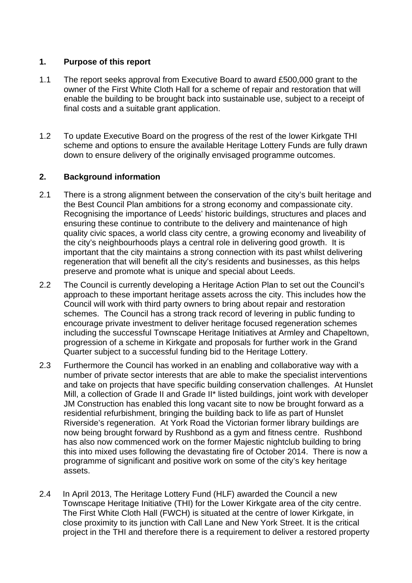#### **1. Purpose of this report**

- 1.1 The report seeks approval from Executive Board to award £500,000 grant to the owner of the First White Cloth Hall for a scheme of repair and restoration that will enable the building to be brought back into sustainable use, subject to a receipt of final costs and a suitable grant application.
- 1.2 To update Executive Board on the progress of the rest of the lower Kirkgate THI scheme and options to ensure the available Heritage Lottery Funds are fully drawn down to ensure delivery of the originally envisaged programme outcomes.

# **2. Background information**

- 2.1 There is a strong alignment between the conservation of the city's built heritage and the Best Council Plan ambitions for a strong economy and compassionate city. Recognising the importance of Leeds' historic buildings, structures and places and ensuring these continue to contribute to the delivery and maintenance of high quality civic spaces, a world class city centre, a growing economy and liveability of the city's neighbourhoods plays a central role in delivering good growth. It is important that the city maintains a strong connection with its past whilst delivering regeneration that will benefit all the city's residents and businesses, as this helps preserve and promote what is unique and special about Leeds.
- 2.2 The Council is currently developing a Heritage Action Plan to set out the Council's approach to these important heritage assets across the city. This includes how the Council will work with third party owners to bring about repair and restoration schemes. The Council has a strong track record of levering in public funding to encourage private investment to deliver heritage focused regeneration schemes including the successful Townscape Heritage Initiatives at Armley and Chapeltown, progression of a scheme in Kirkgate and proposals for further work in the Grand Quarter subject to a successful funding bid to the Heritage Lottery.
- 2.3 Furthermore the Council has worked in an enabling and collaborative way with a number of private sector interests that are able to make the specialist interventions and take on projects that have specific building conservation challenges. At Hunslet Mill, a collection of Grade II and Grade II\* listed buildings, joint work with developer JM Construction has enabled this long vacant site to now be brought forward as a residential refurbishment, bringing the building back to life as part of Hunslet Riverside's regeneration. At York Road the Victorian former library buildings are now being brought forward by Rushbond as a gym and fitness centre. Rushbond has also now commenced work on the former Majestic nightclub building to bring this into mixed uses following the devastating fire of October 2014. There is now a programme of significant and positive work on some of the city's key heritage assets.
- 2.4 In April 2013, The Heritage Lottery Fund (HLF) awarded the Council a new Townscape Heritage Initiative (THI) for the Lower Kirkgate area of the city centre. The First White Cloth Hall (FWCH) is situated at the centre of lower Kirkgate, in close proximity to its junction with Call Lane and New York Street. It is the critical project in the THI and therefore there is a requirement to deliver a restored property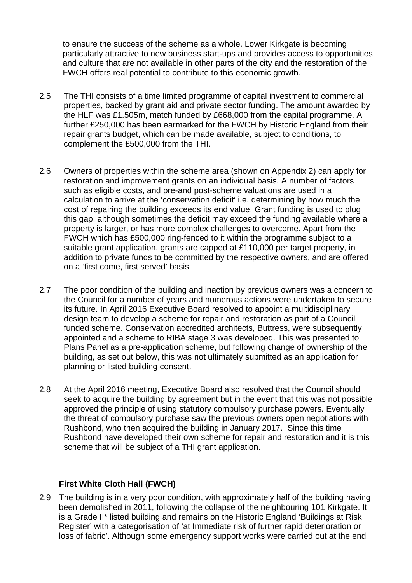to ensure the success of the scheme as a whole. Lower Kirkgate is becoming particularly attractive to new business start-ups and provides access to opportunities and culture that are not available in other parts of the city and the restoration of the FWCH offers real potential to contribute to this economic growth.

- 2.5 The THI consists of a time limited programme of capital investment to commercial properties, backed by grant aid and private sector funding. The amount awarded by the HLF was £1.505m, match funded by £668,000 from the capital programme. A further £250,000 has been earmarked for the FWCH by Historic England from their repair grants budget, which can be made available, subject to conditions, to complement the £500,000 from the THI.
- 2.6 Owners of properties within the scheme area (shown on Appendix 2) can apply for restoration and improvement grants on an individual basis. A number of factors such as eligible costs, and pre-and post-scheme valuations are used in a calculation to arrive at the 'conservation deficit' i.e. determining by how much the cost of repairing the building exceeds its end value. Grant funding is used to plug this gap, although sometimes the deficit may exceed the funding available where a property is larger, or has more complex challenges to overcome. Apart from the FWCH which has £500,000 ring-fenced to it within the programme subject to a suitable grant application, grants are capped at £110,000 per target property, in addition to private funds to be committed by the respective owners, and are offered on a 'first come, first served' basis.
- 2.7 The poor condition of the building and inaction by previous owners was a concern to the Council for a number of years and numerous actions were undertaken to secure its future. In April 2016 Executive Board resolved to appoint a multidisciplinary design team to develop a scheme for repair and restoration as part of a Council funded scheme. Conservation accredited architects, Buttress, were subsequently appointed and a scheme to RIBA stage 3 was developed. This was presented to Plans Panel as a pre-application scheme, but following change of ownership of the building, as set out below, this was not ultimately submitted as an application for planning or listed building consent.
- 2.8 At the April 2016 meeting, Executive Board also resolved that the Council should seek to acquire the building by agreement but in the event that this was not possible approved the principle of using statutory compulsory purchase powers. Eventually the threat of compulsory purchase saw the previous owners open negotiations with Rushbond, who then acquired the building in January 2017. Since this time Rushbond have developed their own scheme for repair and restoration and it is this scheme that will be subject of a THI grant application.

#### **First White Cloth Hall (FWCH)**

2.9 The building is in a very poor condition, with approximately half of the building having been demolished in 2011, following the collapse of the neighbouring 101 Kirkgate. It is a Grade II\* listed building and remains on the Historic England 'Buildings at Risk Register' with a categorisation of 'at Immediate risk of further rapid deterioration or loss of fabric'. Although some emergency support works were carried out at the end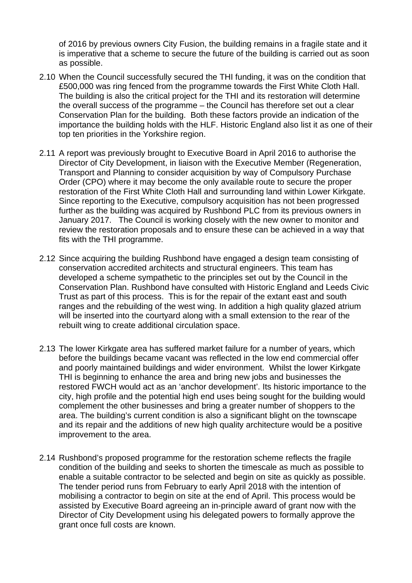of 2016 by previous owners City Fusion, the building remains in a fragile state and it is imperative that a scheme to secure the future of the building is carried out as soon as possible.

- 2.10 When the Council successfully secured the THI funding, it was on the condition that £500,000 was ring fenced from the programme towards the First White Cloth Hall. The building is also the critical project for the THI and its restoration will determine the overall success of the programme – the Council has therefore set out a clear Conservation Plan for the building. Both these factors provide an indication of the importance the building holds with the HLF. Historic England also list it as one of their top ten priorities in the Yorkshire region.
- 2.11 A report was previously brought to Executive Board in April 2016 to authorise the Director of City Development, in liaison with the Executive Member (Regeneration, Transport and Planning to consider acquisition by way of Compulsory Purchase Order (CPO) where it may become the only available route to secure the proper restoration of the First White Cloth Hall and surrounding land within Lower Kirkgate. Since reporting to the Executive, compulsory acquisition has not been progressed further as the building was acquired by Rushbond PLC from its previous owners in January 2017. The Council is working closely with the new owner to monitor and review the restoration proposals and to ensure these can be achieved in a way that fits with the THI programme.
- 2.12 Since acquiring the building Rushbond have engaged a design team consisting of conservation accredited architects and structural engineers. This team has developed a scheme sympathetic to the principles set out by the Council in the Conservation Plan. Rushbond have consulted with Historic England and Leeds Civic Trust as part of this process. This is for the repair of the extant east and south ranges and the rebuilding of the west wing. In addition a high quality glazed atrium will be inserted into the courtyard along with a small extension to the rear of the rebuilt wing to create additional circulation space.
- 2.13 The lower Kirkgate area has suffered market failure for a number of years, which before the buildings became vacant was reflected in the low end commercial offer and poorly maintained buildings and wider environment. Whilst the lower Kirkgate THI is beginning to enhance the area and bring new jobs and businesses the restored FWCH would act as an 'anchor development'. Its historic importance to the city, high profile and the potential high end uses being sought for the building would complement the other businesses and bring a greater number of shoppers to the area. The building's current condition is also a significant blight on the townscape and its repair and the additions of new high quality architecture would be a positive improvement to the area.
- 2.14 Rushbond's proposed programme for the restoration scheme reflects the fragile condition of the building and seeks to shorten the timescale as much as possible to enable a suitable contractor to be selected and begin on site as quickly as possible. The tender period runs from February to early April 2018 with the intention of mobilising a contractor to begin on site at the end of April. This process would be assisted by Executive Board agreeing an in-principle award of grant now with the Director of City Development using his delegated powers to formally approve the grant once full costs are known.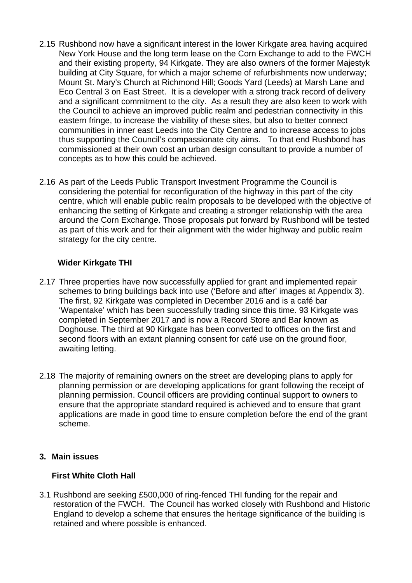- 2.15 Rushbond now have a significant interest in the lower Kirkgate area having acquired New York House and the long term lease on the Corn Exchange to add to the FWCH and their existing property, 94 Kirkgate. They are also owners of the former Majestyk building at City Square, for which a major scheme of refurbishments now underway; Mount St. Mary's Church at Richmond Hill; Goods Yard (Leeds) at Marsh Lane and Eco Central 3 on East Street. It is a developer with a strong track record of delivery and a significant commitment to the city. As a result they are also keen to work with the Council to achieve an improved public realm and pedestrian connectivity in this eastern fringe, to increase the viability of these sites, but also to better connect communities in inner east Leeds into the City Centre and to increase access to jobs thus supporting the Council's compassionate city aims. To that end Rushbond has commissioned at their own cost an urban design consultant to provide a number of concepts as to how this could be achieved.
- 2.16 As part of the Leeds Public Transport Investment Programme the Council is considering the potential for reconfiguration of the highway in this part of the city centre, which will enable public realm proposals to be developed with the objective of enhancing the setting of Kirkgate and creating a stronger relationship with the area around the Corn Exchange. Those proposals put forward by Rushbond will be tested as part of this work and for their alignment with the wider highway and public realm strategy for the city centre.

#### **Wider Kirkgate THI**

- 2.17 Three properties have now successfully applied for grant and implemented repair schemes to bring buildings back into use ('Before and after' images at Appendix 3). The first, 92 Kirkgate was completed in December 2016 and is a café bar 'Wapentake' which has been successfully trading since this time. 93 Kirkgate was completed in September 2017 and is now a Record Store and Bar known as Doghouse. The third at 90 Kirkgate has been converted to offices on the first and second floors with an extant planning consent for café use on the ground floor, awaiting letting.
- 2.18 The majority of remaining owners on the street are developing plans to apply for planning permission or are developing applications for grant following the receipt of planning permission. Council officers are providing continual support to owners to ensure that the appropriate standard required is achieved and to ensure that grant applications are made in good time to ensure completion before the end of the grant scheme.

# **3. Main issues**

# **First White Cloth Hall**

3.1 Rushbond are seeking £500,000 of ring-fenced THI funding for the repair and restoration of the FWCH. The Council has worked closely with Rushbond and Historic England to develop a scheme that ensures the heritage significance of the building is retained and where possible is enhanced.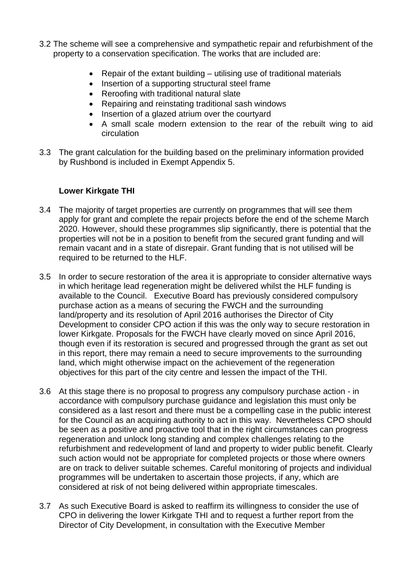- 3.2 The scheme will see a comprehensive and sympathetic repair and refurbishment of the property to a conservation specification. The works that are included are:
	- Repair of the extant building utilising use of traditional materials
	- Insertion of a supporting structural steel frame
	- Reroofing with traditional natural slate
	- Repairing and reinstating traditional sash windows
	- Insertion of a glazed atrium over the courtyard
	- A small scale modern extension to the rear of the rebuilt wing to aid circulation
- 3.3 The grant calculation for the building based on the preliminary information provided by Rushbond is included in Exempt Appendix 5.

# **Lower Kirkgate THI**

- 3.4 The majority of target properties are currently on programmes that will see them apply for grant and complete the repair projects before the end of the scheme March 2020. However, should these programmes slip significantly, there is potential that the properties will not be in a position to benefit from the secured grant funding and will remain vacant and in a state of disrepair. Grant funding that is not utilised will be required to be returned to the HLF.
- 3.5 In order to secure restoration of the area it is appropriate to consider alternative ways in which heritage lead regeneration might be delivered whilst the HLF funding is available to the Council. Executive Board has previously considered compulsory purchase action as a means of securing the FWCH and the surrounding land/property and its resolution of April 2016 authorises the Director of City Development to consider CPO action if this was the only way to secure restoration in lower Kirkgate. Proposals for the FWCH have clearly moved on since April 2016, though even if its restoration is secured and progressed through the grant as set out in this report, there may remain a need to secure improvements to the surrounding land, which might otherwise impact on the achievement of the regeneration objectives for this part of the city centre and lessen the impact of the THI.
- 3.6 At this stage there is no proposal to progress any compulsory purchase action in accordance with compulsory purchase guidance and legislation this must only be considered as a last resort and there must be a compelling case in the public interest for the Council as an acquiring authority to act in this way. Nevertheless CPO should be seen as a positive and proactive tool that in the right circumstances can progress regeneration and unlock long standing and complex challenges relating to the refurbishment and redevelopment of land and property to wider public benefit. Clearly such action would not be appropriate for completed projects or those where owners are on track to deliver suitable schemes. Careful monitoring of projects and individual programmes will be undertaken to ascertain those projects, if any, which are considered at risk of not being delivered within appropriate timescales.
- 3.7 As such Executive Board is asked to reaffirm its willingness to consider the use of CPO in delivering the lower Kirkgate THI and to request a further report from the Director of City Development, in consultation with the Executive Member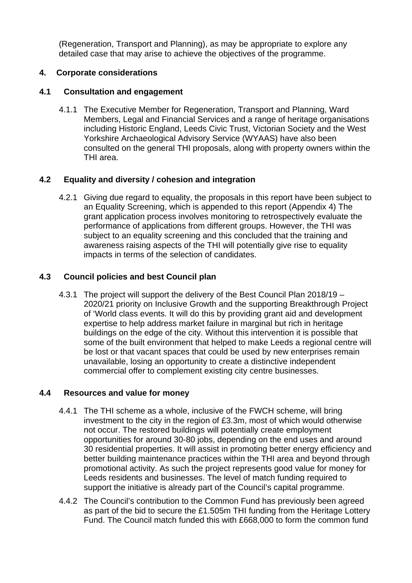(Regeneration, Transport and Planning), as may be appropriate to explore any detailed case that may arise to achieve the objectives of the programme.

# **4. Corporate considerations**

# **4.1 Consultation and engagement**

4.1.1 The Executive Member for Regeneration, Transport and Planning, Ward Members, Legal and Financial Services and a range of heritage organisations including Historic England, Leeds Civic Trust, Victorian Society and the West Yorkshire Archaeological Advisory Service (WYAAS) have also been consulted on the general THI proposals, along with property owners within the THI area.

# **4.2 Equality and diversity / cohesion and integration**

4.2.1 Giving due regard to equality, the proposals in this report have been subject to an Equality Screening, which is appended to this report (Appendix 4) The grant application process involves monitoring to retrospectively evaluate the performance of applications from different groups. However, the THI was subject to an equality screening and this concluded that the training and awareness raising aspects of the THI will potentially give rise to equality impacts in terms of the selection of candidates.

# **4.3 Council policies and best Council plan**

4.3.1 The project will support the delivery of the Best Council Plan 2018/19 – 2020/21 priority on Inclusive Growth and the supporting Breakthrough Project of 'World class events. It will do this by providing grant aid and development expertise to help address market failure in marginal but rich in heritage buildings on the edge of the city. Without this intervention it is possible that some of the built environment that helped to make Leeds a regional centre will be lost or that vacant spaces that could be used by new enterprises remain unavailable, losing an opportunity to create a distinctive independent commercial offer to complement existing city centre businesses.

# **4.4 Resources and value for money**

- 4.4.1 The THI scheme as a whole, inclusive of the FWCH scheme, will bring investment to the city in the region of £3.3m, most of which would otherwise not occur. The restored buildings will potentially create employment opportunities for around 30-80 jobs, depending on the end uses and around 30 residential properties. It will assist in promoting better energy efficiency and better building maintenance practices within the THI area and beyond through promotional activity. As such the project represents good value for money for Leeds residents and businesses. The level of match funding required to support the initiative is already part of the Council's capital programme.
- 4.4.2 The Council's contribution to the Common Fund has previously been agreed as part of the bid to secure the £1.505m THI funding from the Heritage Lottery Fund. The Council match funded this with £668,000 to form the common fund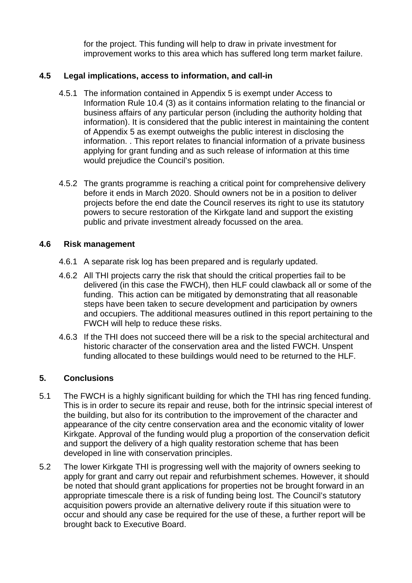for the project. This funding will help to draw in private investment for improvement works to this area which has suffered long term market failure.

# **4.5 Legal implications, access to information, and call-in**

- 4.5.1 The information contained in Appendix 5 is exempt under Access to Information Rule 10.4 (3) as it contains information relating to the financial or business affairs of any particular person (including the authority holding that information). It is considered that the public interest in maintaining the content of Appendix 5 as exempt outweighs the public interest in disclosing the information. . This report relates to financial information of a private business applying for grant funding and as such release of information at this time would prejudice the Council's position.
- 4.5.2 The grants programme is reaching a critical point for comprehensive delivery before it ends in March 2020. Should owners not be in a position to deliver projects before the end date the Council reserves its right to use its statutory powers to secure restoration of the Kirkgate land and support the existing public and private investment already focussed on the area.

#### **4.6 Risk management**

- 4.6.1 A separate risk log has been prepared and is regularly updated.
- 4.6.2 All THI projects carry the risk that should the critical properties fail to be delivered (in this case the FWCH), then HLF could clawback all or some of the funding. This action can be mitigated by demonstrating that all reasonable steps have been taken to secure development and participation by owners and occupiers. The additional measures outlined in this report pertaining to the FWCH will help to reduce these risks.
- 4.6.3 If the THI does not succeed there will be a risk to the special architectural and historic character of the conservation area and the listed FWCH. Unspent funding allocated to these buildings would need to be returned to the HLF.

# **5. Conclusions**

- 5.1 The FWCH is a highly significant building for which the THI has ring fenced funding. This is in order to secure its repair and reuse, both for the intrinsic special interest of the building, but also for its contribution to the improvement of the character and appearance of the city centre conservation area and the economic vitality of lower Kirkgate. Approval of the funding would plug a proportion of the conservation deficit and support the delivery of a high quality restoration scheme that has been developed in line with conservation principles.
- 5.2 The lower Kirkgate THI is progressing well with the majority of owners seeking to apply for grant and carry out repair and refurbishment schemes. However, it should be noted that should grant applications for properties not be brought forward in an appropriate timescale there is a risk of funding being lost. The Council's statutory acquisition powers provide an alternative delivery route if this situation were to occur and should any case be required for the use of these, a further report will be brought back to Executive Board.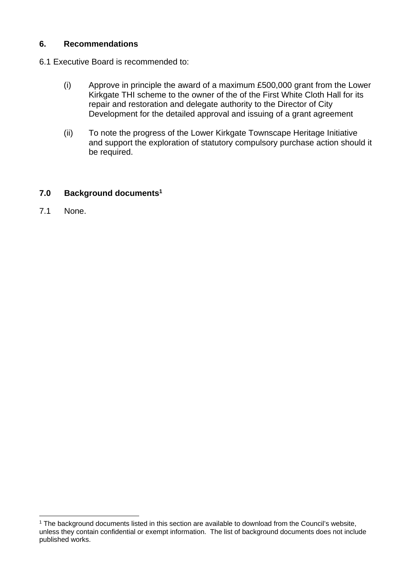#### **6. Recommendations**

- 6.1 Executive Board is recommended to:
	- (i) Approve in principle the award of a maximum £500,000 grant from the Lower Kirkgate THI scheme to the owner of the of the First White Cloth Hall for its repair and restoration and delegate authority to the Director of City Development for the detailed approval and issuing of a grant agreement
	- (ii) To note the progress of the Lower Kirkgate Townscape Heritage Initiative and support the exploration of statutory compulsory purchase action should it be required.

#### **7.0 Background documents1**

7.1 None.

l

<sup>&</sup>lt;sup>1</sup> The background documents listed in this section are available to download from the Council's website, unless they contain confidential or exempt information. The list of background documents does not include published works.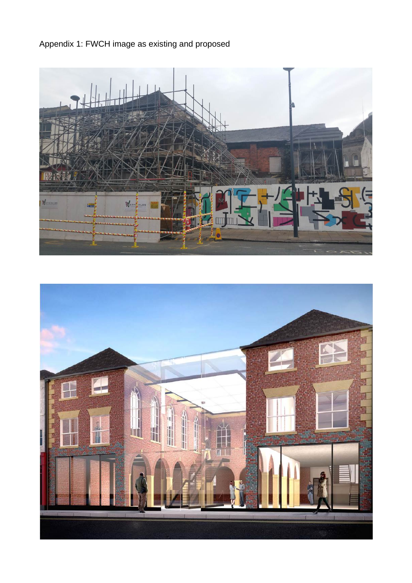Appendix 1: FWCH image as existing and proposed



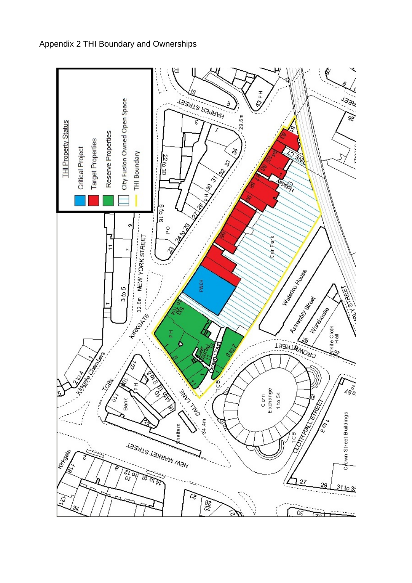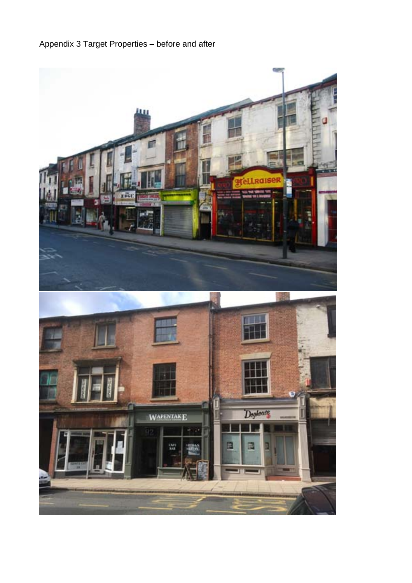# Appendix 3 Target Properties – before and after

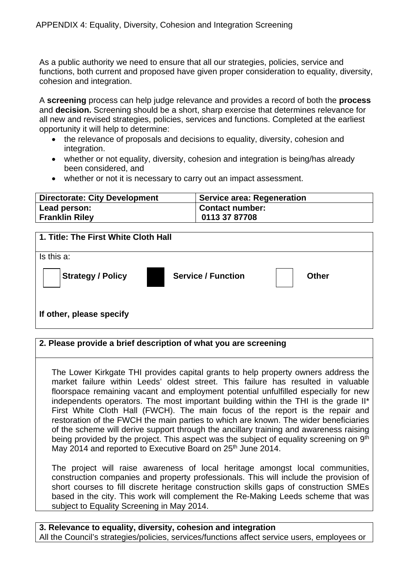As a public authority we need to ensure that all our strategies, policies, service and functions, both current and proposed have given proper consideration to equality, diversity, cohesion and integration.

A **screening** process can help judge relevance and provides a record of both the **process** and **decision.** Screening should be a short, sharp exercise that determines relevance for all new and revised strategies, policies, services and functions. Completed at the earliest opportunity it will help to determine:

- the relevance of proposals and decisions to equality, diversity, cohesion and integration.
- whether or not equality, diversity, cohesion and integration is being/has already been considered, and
- whether or not it is necessary to carry out an impact assessment.

| <b>Directorate: City Development</b> | <b>Service area: Regeneration</b> |
|--------------------------------------|-----------------------------------|
| Lead person:                         | <b>Contact number:</b>            |
| <b>Franklin Riley</b>                | 0113 37 87708                     |

| 1. Title: The First White Cloth Hall |                           |              |
|--------------------------------------|---------------------------|--------------|
| Is this a:                           |                           |              |
| <b>Strategy / Policy</b>             | <b>Service / Function</b> | <b>Other</b> |
| If other, please specify             |                           |              |

#### **2. Please provide a brief description of what you are screening**

The Lower Kirkgate THI provides capital grants to help property owners address the market failure within Leeds' oldest street. This failure has resulted in valuable floorspace remaining vacant and employment potential unfulfilled especially for new independents operators. The most important building within the THI is the grade II\* First White Cloth Hall (FWCH). The main focus of the report is the repair and restoration of the FWCH the main parties to which are known. The wider beneficiaries of the scheme will derive support through the ancillary training and awareness raising being provided by the project. This aspect was the subject of equality screening on 9<sup>th</sup> May 2014 and reported to Executive Board on 25<sup>th</sup> June 2014.

The project will raise awareness of local heritage amongst local communities, construction companies and property professionals. This will include the provision of short courses to fill discrete heritage construction skills gaps of construction SMEs based in the city. This work will complement the Re-Making Leeds scheme that was subject to Equality Screening in May 2014.

**3. Relevance to equality, diversity, cohesion and integration**  All the Council's strategies/policies, services/functions affect service users, employees or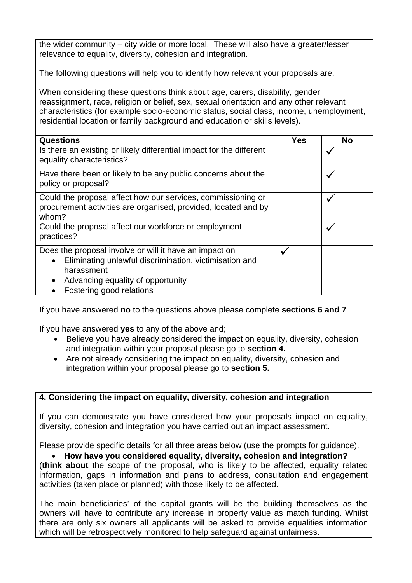the wider community – city wide or more local. These will also have a greater/lesser relevance to equality, diversity, cohesion and integration.

The following questions will help you to identify how relevant your proposals are.

When considering these questions think about age, carers, disability, gender reassignment, race, religion or belief, sex, sexual orientation and any other relevant characteristics (for example socio-economic status, social class, income, unemployment, residential location or family background and education or skills levels).

| <b>Questions</b>                                                                                                                                                                                                          | <b>Yes</b>   | <b>No</b>    |
|---------------------------------------------------------------------------------------------------------------------------------------------------------------------------------------------------------------------------|--------------|--------------|
| Is there an existing or likely differential impact for the different<br>equality characteristics?                                                                                                                         |              |              |
| Have there been or likely to be any public concerns about the<br>policy or proposal?                                                                                                                                      |              |              |
| Could the proposal affect how our services, commissioning or<br>procurement activities are organised, provided, located and by<br>whom?                                                                                   |              | $\checkmark$ |
| Could the proposal affect our workforce or employment<br>practices?                                                                                                                                                       |              |              |
| Does the proposal involve or will it have an impact on<br>Eliminating unlawful discrimination, victimisation and<br>$\bullet$<br>harassment<br>Advancing equality of opportunity<br>$\bullet$<br>Fostering good relations | $\checkmark$ |              |

If you have answered **no** to the questions above please complete **sections 6 and 7**

If you have answered **yes** to any of the above and;

- Believe you have already considered the impact on equality, diversity, cohesion and integration within your proposal please go to **section 4.**
- Are not already considering the impact on equality, diversity, cohesion and integration within your proposal please go to **section 5.**

# **4. Considering the impact on equality, diversity, cohesion and integration**

If you can demonstrate you have considered how your proposals impact on equality, diversity, cohesion and integration you have carried out an impact assessment.

Please provide specific details for all three areas below (use the prompts for guidance).

# **How have you considered equality, diversity, cohesion and integration?**

(**think about** the scope of the proposal, who is likely to be affected, equality related information, gaps in information and plans to address, consultation and engagement activities (taken place or planned) with those likely to be affected.

The main beneficiaries' of the capital grants will be the building themselves as the owners will have to contribute any increase in property value as match funding. Whilst there are only six owners all applicants will be asked to provide equalities information which will be retrospectively monitored to help safeguard against unfairness.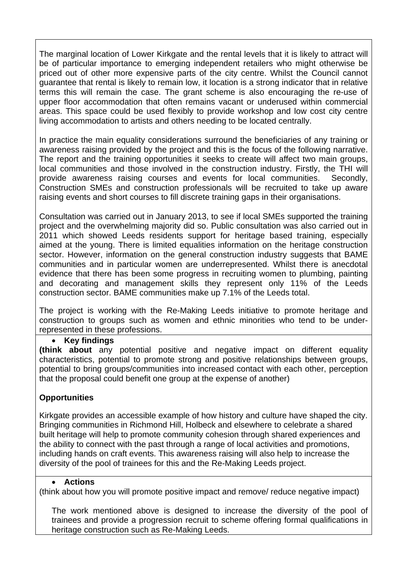The marginal location of Lower Kirkgate and the rental levels that it is likely to attract will be of particular importance to emerging independent retailers who might otherwise be priced out of other more expensive parts of the city centre. Whilst the Council cannot guarantee that rental is likely to remain low, it location is a strong indicator that in relative terms this will remain the case. The grant scheme is also encouraging the re-use of upper floor accommodation that often remains vacant or underused within commercial areas. This space could be used flexibly to provide workshop and low cost city centre living accommodation to artists and others needing to be located centrally.

In practice the main equality considerations surround the beneficiaries of any training or awareness raising provided by the project and this is the focus of the following narrative. The report and the training opportunities it seeks to create will affect two main groups, local communities and those involved in the construction industry. Firstly, the THI will provide awareness raising courses and events for local communities. Secondly, Construction SMEs and construction professionals will be recruited to take up aware raising events and short courses to fill discrete training gaps in their organisations.

Consultation was carried out in January 2013, to see if local SMEs supported the training project and the overwhelming majority did so. Public consultation was also carried out in 2011 which showed Leeds residents support for heritage based training, especially aimed at the young. There is limited equalities information on the heritage construction sector. However, information on the general construction industry suggests that BAME communities and in particular women are underrepresented. Whilst there is anecdotal evidence that there has been some progress in recruiting women to plumbing, painting and decorating and management skills they represent only 11% of the Leeds construction sector. BAME communities make up 7.1% of the Leeds total.

The project is working with the Re-Making Leeds initiative to promote heritage and construction to groups such as women and ethnic minorities who tend to be underrepresented in these professions.

# **Key findings**

**(think about** any potential positive and negative impact on different equality characteristics, potential to promote strong and positive relationships between groups, potential to bring groups/communities into increased contact with each other, perception that the proposal could benefit one group at the expense of another)

# **Opportunities**

Kirkgate provides an accessible example of how history and culture have shaped the city. Bringing communities in Richmond Hill, Holbeck and elsewhere to celebrate a shared built heritage will help to promote community cohesion through shared experiences and the ability to connect with the past through a range of local activities and promotions, including hands on craft events. This awareness raising will also help to increase the diversity of the pool of trainees for this and the Re-Making Leeds project.

#### **Actions**

(think about how you will promote positive impact and remove/ reduce negative impact)

The work mentioned above is designed to increase the diversity of the pool of trainees and provide a progression recruit to scheme offering formal qualifications in heritage construction such as Re-Making Leeds.